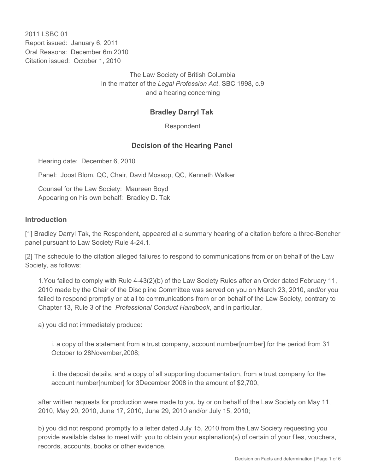2011 LSBC 01 Report issued: January 6, 2011 Oral Reasons: December 6m 2010 Citation issued: October 1, 2010

> The Law Society of British Columbia In the matter of the *Legal Profession Act*, SBC 1998, c.9 and a hearing concerning

### **Bradley Darryl Tak**

Respondent

### **Decision of the Hearing Panel**

Hearing date: December 6, 2010

Panel: Joost Blom, QC, Chair, David Mossop, QC, Kenneth Walker

Counsel for the Law Society: Maureen Boyd Appearing on his own behalf: Bradley D. Tak

#### **Introduction**

[1] Bradley Darryl Tak, the Respondent, appeared at a summary hearing of a citation before a three-Bencher panel pursuant to Law Society Rule 4-24.1.

[2] The schedule to the citation alleged failures to respond to communications from or on behalf of the Law Society, as follows:

1.You failed to comply with Rule 4-43(2)(b) of the Law Society Rules after an Order dated February 11, 2010 made by the Chair of the Discipline Committee was served on you on March 23, 2010, and/or you failed to respond promptly or at all to communications from or on behalf of the Law Society, contrary to Chapter 13, Rule 3 of the *Professional Conduct Handbook*, and in particular,

a) you did not immediately produce:

i. a copy of the statement from a trust company, account number[number] for the period from 31 October to 28November,2008;

ii. the deposit details, and a copy of all supporting documentation, from a trust company for the account number[number] for 3December 2008 in the amount of \$2,700,

after written requests for production were made to you by or on behalf of the Law Society on May 11, 2010, May 20, 2010, June 17, 2010, June 29, 2010 and/or July 15, 2010;

b) you did not respond promptly to a letter dated July 15, 2010 from the Law Society requesting you provide available dates to meet with you to obtain your explanation(s) of certain of your files, vouchers, records, accounts, books or other evidence.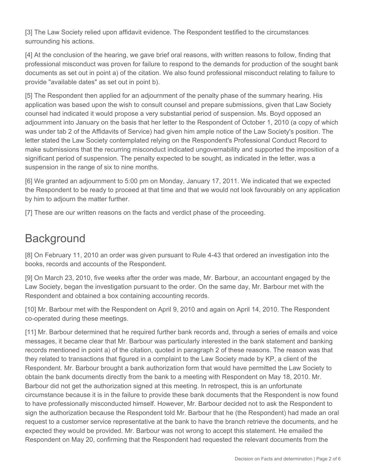[3] The Law Society relied upon affidavit evidence. The Respondent testified to the circumstances surrounding his actions.

[4] At the conclusion of the hearing, we gave brief oral reasons, with written reasons to follow, finding that professional misconduct was proven for failure to respond to the demands for production of the sought bank documents as set out in point a) of the citation. We also found professional misconduct relating to failure to provide "available dates" as set out in point b).

[5] The Respondent then applied for an adjournment of the penalty phase of the summary hearing. His application was based upon the wish to consult counsel and prepare submissions, given that Law Society counsel had indicated it would propose a very substantial period of suspension. Ms. Boyd opposed an adjournment into January on the basis that her letter to the Respondent of October 1, 2010 (a copy of which was under tab 2 of the Affidavits of Service) had given him ample notice of the Law Society's position. The letter stated the Law Society contemplated relying on the Respondent's Professional Conduct Record to make submissions that the recurring misconduct indicated ungovernability and supported the imposition of a significant period of suspension. The penalty expected to be sought, as indicated in the letter, was a suspension in the range of six to nine months.

[6] We granted an adjournment to 5:00 pm on Monday, January 17, 2011. We indicated that we expected the Respondent to be ready to proceed at that time and that we would not look favourably on any application by him to adjourn the matter further.

[7] These are our written reasons on the facts and verdict phase of the proceeding.

# **Background**

[8] On February 11, 2010 an order was given pursuant to Rule 4-43 that ordered an investigation into the books, records and accounts of the Respondent.

[9] On March 23, 2010, five weeks after the order was made, Mr. Barbour, an accountant engaged by the Law Society, began the investigation pursuant to the order. On the same day, Mr. Barbour met with the Respondent and obtained a box containing accounting records.

[10] Mr. Barbour met with the Respondent on April 9, 2010 and again on April 14, 2010. The Respondent co-operated during these meetings.

[11] Mr. Barbour determined that he required further bank records and, through a series of emails and voice messages, it became clear that Mr. Barbour was particularly interested in the bank statement and banking records mentioned in point a) of the citation, quoted in paragraph 2 of these reasons. The reason was that they related to transactions that figured in a complaint to the Law Society made by KP, a client of the Respondent. Mr. Barbour brought a bank authorization form that would have permitted the Law Society to obtain the bank documents directly from the bank to a meeting with Respondent on May 18, 2010. Mr. Barbour did not get the authorization signed at this meeting. In retrospect, this is an unfortunate circumstance because it is in the failure to provide these bank documents that the Respondent is now found to have professionally misconducted himself. However, Mr. Barbour decided not to ask the Respondent to sign the authorization because the Respondent told Mr. Barbour that he (the Respondent) had made an oral request to a customer service representative at the bank to have the branch retrieve the documents, and he expected they would be provided. Mr. Barbour was not wrong to accept this statement. He emailed the Respondent on May 20, confirming that the Respondent had requested the relevant documents from the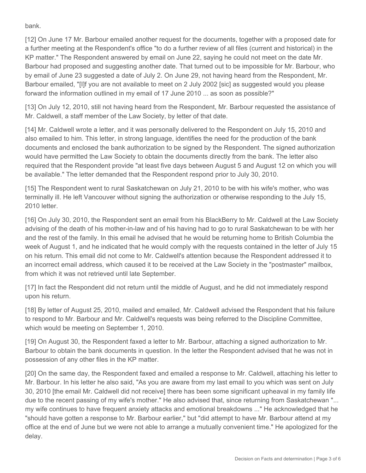bank.

[12] On June 17 Mr. Barbour emailed another request for the documents, together with a proposed date for a further meeting at the Respondent's office "to do a further review of all files (current and historical) in the KP matter." The Respondent answered by email on June 22, saying he could not meet on the date Mr. Barbour had proposed and suggesting another date. That turned out to be impossible for Mr. Barbour, who by email of June 23 suggested a date of July 2. On June 29, not having heard from the Respondent, Mr. Barbour emailed, "[I]f you are not available to meet on 2 July 2002 [sic] as suggested would you please forward the information outlined in my email of 17 June 2010 ... as soon as possible?"

[13] On July 12, 2010, still not having heard from the Respondent, Mr. Barbour requested the assistance of Mr. Caldwell, a staff member of the Law Society, by letter of that date.

[14] Mr. Caldwell wrote a letter, and it was personally delivered to the Respondent on July 15, 2010 and also emailed to him. This letter, in strong language, identifies the need for the production of the bank documents and enclosed the bank authorization to be signed by the Respondent. The signed authorization would have permitted the Law Society to obtain the documents directly from the bank. The letter also required that the Respondent provide "at least five days between August 5 and August 12 on which you will be available." The letter demanded that the Respondent respond prior to July 30, 2010.

[15] The Respondent went to rural Saskatchewan on July 21, 2010 to be with his wife's mother, who was terminally ill. He left Vancouver without signing the authorization or otherwise responding to the July 15, 2010 letter.

[16] On July 30, 2010, the Respondent sent an email from his BlackBerry to Mr. Caldwell at the Law Society advising of the death of his mother-in-law and of his having had to go to rural Saskatchewan to be with her and the rest of the family. In this email he advised that he would be returning home to British Columbia the week of August 1, and he indicated that he would comply with the requests contained in the letter of July 15 on his return. This email did not come to Mr. Caldwell's attention because the Respondent addressed it to an incorrect email address, which caused it to be received at the Law Society in the "postmaster" mailbox, from which it was not retrieved until late September.

[17] In fact the Respondent did not return until the middle of August, and he did not immediately respond upon his return.

[18] By letter of August 25, 2010, mailed and emailed, Mr. Caldwell advised the Respondent that his failure to respond to Mr. Barbour and Mr. Caldwell's requests was being referred to the Discipline Committee, which would be meeting on September 1, 2010.

[19] On August 30, the Respondent faxed a letter to Mr. Barbour, attaching a signed authorization to Mr. Barbour to obtain the bank documents in question. In the letter the Respondent advised that he was not in possession of any other files in the KP matter.

[20] On the same day, the Respondent faxed and emailed a response to Mr. Caldwell, attaching his letter to Mr. Barbour. In his letter he also said, "As you are aware from my last email to you which was sent on July 30, 2010 [the email Mr. Caldwell did not receive] there has been some significant upheaval in my family life due to the recent passing of my wife's mother." He also advised that, since returning from Saskatchewan "... my wife continues to have frequent anxiety attacks and emotional breakdowns ..." He acknowledged that he "should have gotten a response to Mr. Barbour earlier," but "did attempt to have Mr. Barbour attend at my office at the end of June but we were not able to arrange a mutually convenient time." He apologized for the delay.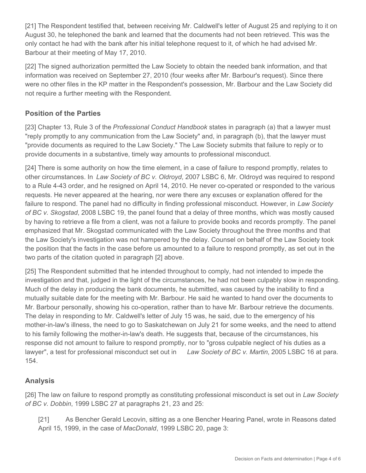[21] The Respondent testified that, between receiving Mr. Caldwell's letter of August 25 and replying to it on August 30, he telephoned the bank and learned that the documents had not been retrieved. This was the only contact he had with the bank after his initial telephone request to it, of which he had advised Mr. Barbour at their meeting of May 17, 2010.

[22] The signed authorization permitted the Law Society to obtain the needed bank information, and that information was received on September 27, 2010 (four weeks after Mr. Barbour's request). Since there were no other files in the KP matter in the Respondent's possession, Mr. Barbour and the Law Society did not require a further meeting with the Respondent.

## **Position of the Parties**

[23] Chapter 13, Rule 3 of the *Professional Conduct Handbook* states in paragraph (a) that a lawyer must "reply promptly to any communication from the Law Society" and, in paragraph (b), that the lawyer must "provide documents as required to the Law Society." The Law Society submits that failure to reply or to provide documents in a substantive, timely way amounts to professional misconduct.

[24] There is some authority on how the time element, in a case of failure to respond promptly, relates to other circumstances. In *Law Society of BC v. Oldroyd*, 2007 LSBC 6, Mr. Oldroyd was required to respond to a Rule 4-43 order, and he resigned on April 14, 2010. He never co-operated or responded to the various requests. He never appeared at the hearing, nor were there any excuses or explanation offered for the failure to respond. The panel had no difficulty in finding professional misconduct. However, in *Law Society of BC v. Skogstad*, 2008 LSBC 19, the panel found that a delay of three months, which was mostly caused by having to retrieve a file from a client, was not a failure to provide books and records promptly. The panel emphasized that Mr. Skogstad communicated with the Law Society throughout the three months and that the Law Society's investigation was not hampered by the delay. Counsel on behalf of the Law Society took the position that the facts in the case before us amounted to a failure to respond promptly, as set out in the two parts of the citation quoted in paragraph [2] above.

[25] The Respondent submitted that he intended throughout to comply, had not intended to impede the investigation and that, judged in the light of the circumstances, he had not been culpably slow in responding. Much of the delay in producing the bank documents, he submitted, was caused by the inability to find a mutually suitable date for the meeting with Mr. Barbour. He said he wanted to hand over the documents to Mr. Barbour personally, showing his co-operation, rather than to have Mr. Barbour retrieve the documents. The delay in responding to Mr. Caldwell's letter of July 15 was, he said, due to the emergency of his mother-in-law's illness, the need to go to Saskatchewan on July 21 for some weeks, and the need to attend to his family following the mother-in-law's death. He suggests that, because of the circumstances, his response did not amount to failure to respond promptly, nor to "gross culpable neglect of his duties as a lawyer", a test for professional misconduct set out in *Law Society of BC v. Martin*, 2005 LSBC 16 at para. 154.

# **Analysis**

[26] The law on failure to respond promptly as constituting professional misconduct is set out in *Law Society of BC v. Dobbin*, 1999 LSBC 27 at paragraphs 21, 23 and 25:

[21] As Bencher Gerald Lecovin, sitting as a one Bencher Hearing Panel, wrote in Reasons dated April 15, 1999, in the case of *MacDonald*, 1999 LSBC 20, page 3: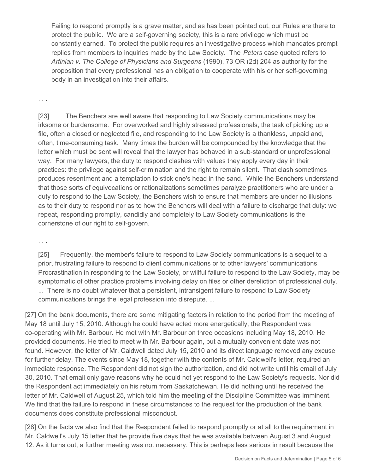Failing to respond promptly is a grave matter, and as has been pointed out, our Rules are there to protect the public. We are a self-governing society, this is a rare privilege which must be constantly earned. To protect the public requires an investigative process which mandates prompt replies from members to inquiries made by the Law Society. The *Peters* case quoted refers to *Artinian v. The College of Physicians and Surgeons* (1990), 73 OR (2d) 204 as authority for the proposition that every professional has an obligation to cooperate with his or her self-governing body in an investigation into their affairs.

. . .

[23] The Benchers are well aware that responding to Law Society communications may be irksome or burdensome. For overworked and highly stressed professionals, the task of picking up a file, often a closed or neglected file, and responding to the Law Society is a thankless, unpaid and, often, time-consuming task. Many times the burden will be compounded by the knowledge that the letter which must be sent will reveal that the lawyer has behaved in a sub-standard or unprofessional way. For many lawyers, the duty to respond clashes with values they apply every day in their practices: the privilege against self-crimination and the right to remain silent. That clash sometimes produces resentment and a temptation to stick one's head in the sand. While the Benchers understand that those sorts of equivocations or rationalizations sometimes paralyze practitioners who are under a duty to respond to the Law Society, the Benchers wish to ensure that members are under no illusions as to their duty to respond nor as to how the Benchers will deal with a failure to discharge that duty: we repeat, responding promptly, candidly and completely to Law Society communications is the cornerstone of our right to self-govern.

. . .

[25] Frequently, the member's failure to respond to Law Society communications is a sequel to a prior, frustrating failure to respond to client communications or to other lawyers' communications. Procrastination in responding to the Law Society, or willful failure to respond to the Law Society, may be symptomatic of other practice problems involving delay on files or other dereliction of professional duty. ... There is no doubt whatever that a persistent, intransigent failure to respond to Law Society communications brings the legal profession into disrepute. ...

[27] On the bank documents, there are some mitigating factors in relation to the period from the meeting of May 18 until July 15, 2010. Although he could have acted more energetically, the Respondent was co-operating with Mr. Barbour. He met with Mr. Barbour on three occasions including May 18, 2010. He provided documents. He tried to meet with Mr. Barbour again, but a mutually convenient date was not found. However, the letter of Mr. Caldwell dated July 15, 2010 and its direct language removed any excuse for further delay. The events since May 18, together with the contents of Mr. Caldwell's letter, required an immediate response. The Respondent did not sign the authorization, and did not write until his email of July 30, 2010. That email only gave reasons why he could not yet respond to the Law Society's requests. Nor did the Respondent act immediately on his return from Saskatchewan. He did nothing until he received the letter of Mr. Caldwell of August 25, which told him the meeting of the Discipline Committee was imminent. We find that the failure to respond in these circumstances to the request for the production of the bank documents does constitute professional misconduct.

[28] On the facts we also find that the Respondent failed to respond promptly or at all to the requirement in Mr. Caldwell's July 15 letter that he provide five days that he was available between August 3 and August 12. As it turns out, a further meeting was not necessary. This is perhaps less serious in result because the